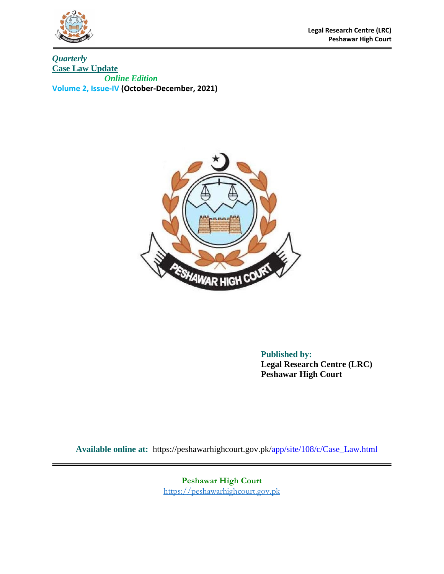

**Legal Research Centre (LRC) Peshawar High Court**

*Quarterly*  **Case Law Update**  *Online Edition*  **Volume 2, Issue-IV (October-December, 2021)**



**Published by: Legal Research Centre (LRC) Peshawar High Court** 

**Available online at:** https://peshawarhighcourt.gov.pk/app/site/108/c/Case\_Law.html

**Peshawar High Court** [https://peshawarhighcourt.gov.pk](https://peshawarhighcourt.gov.pk/)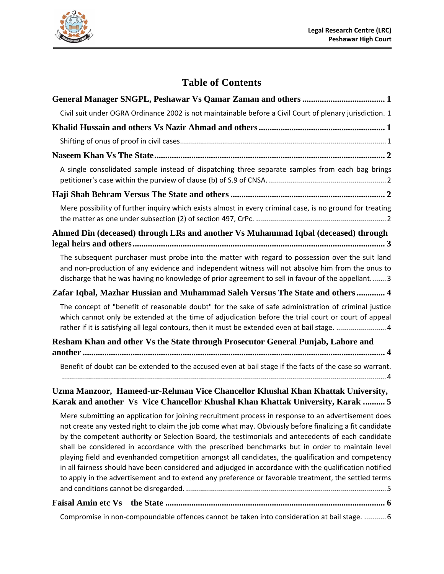

# **Table of Contents**

| Civil suit under OGRA Ordinance 2002 is not maintainable before a Civil Court of plenary jurisdiction. 1                                                                                                                                                                                                                                                                                                                                                                                                                                                                                                                                                                                                                                      |
|-----------------------------------------------------------------------------------------------------------------------------------------------------------------------------------------------------------------------------------------------------------------------------------------------------------------------------------------------------------------------------------------------------------------------------------------------------------------------------------------------------------------------------------------------------------------------------------------------------------------------------------------------------------------------------------------------------------------------------------------------|
|                                                                                                                                                                                                                                                                                                                                                                                                                                                                                                                                                                                                                                                                                                                                               |
|                                                                                                                                                                                                                                                                                                                                                                                                                                                                                                                                                                                                                                                                                                                                               |
|                                                                                                                                                                                                                                                                                                                                                                                                                                                                                                                                                                                                                                                                                                                                               |
| A single consolidated sample instead of dispatching three separate samples from each bag brings                                                                                                                                                                                                                                                                                                                                                                                                                                                                                                                                                                                                                                               |
|                                                                                                                                                                                                                                                                                                                                                                                                                                                                                                                                                                                                                                                                                                                                               |
| Mere possibility of further inquiry which exists almost in every criminal case, is no ground for treating                                                                                                                                                                                                                                                                                                                                                                                                                                                                                                                                                                                                                                     |
| Ahmed Din (deceased) through LRs and another Vs Muhammad Iqbal (deceased) through                                                                                                                                                                                                                                                                                                                                                                                                                                                                                                                                                                                                                                                             |
| The subsequent purchaser must probe into the matter with regard to possession over the suit land<br>and non-production of any evidence and independent witness will not absolve him from the onus to<br>discharge that he was having no knowledge of prior agreement to sell in favour of the appellant 3                                                                                                                                                                                                                                                                                                                                                                                                                                     |
| Zafar Iqbal, Mazhar Hussian and Muhammad Saleh Versus The State and others  4                                                                                                                                                                                                                                                                                                                                                                                                                                                                                                                                                                                                                                                                 |
| The concept of "benefit of reasonable doubt" for the sake of safe administration of criminal justice<br>which cannot only be extended at the time of adjudication before the trial court or court of appeal<br>rather if it is satisfying all legal contours, then it must be extended even at bail stage.  4                                                                                                                                                                                                                                                                                                                                                                                                                                 |
| Resham Khan and other Vs the State through Prosecutor General Punjab, Lahore and                                                                                                                                                                                                                                                                                                                                                                                                                                                                                                                                                                                                                                                              |
| Benefit of doubt can be extended to the accused even at bail stage if the facts of the case so warrant.                                                                                                                                                                                                                                                                                                                                                                                                                                                                                                                                                                                                                                       |
| Uzma Manzoor, Hameed-ur-Rehman Vice Chancellor Khushal Khan Khattak University,<br>Karak and another Vs Vice Chancellor Khushal Khan Khattak University, Karak  5                                                                                                                                                                                                                                                                                                                                                                                                                                                                                                                                                                             |
| Mere submitting an application for joining recruitment process in response to an advertisement does<br>not create any vested right to claim the job come what may. Obviously before finalizing a fit candidate<br>by the competent authority or Selection Board, the testimonials and antecedents of each candidate<br>shall be considered in accordance with the prescribed benchmarks but in order to maintain level<br>playing field and evenhanded competition amongst all candidates, the qualification and competency<br>in all fairness should have been considered and adjudged in accordance with the qualification notified<br>to apply in the advertisement and to extend any preference or favorable treatment, the settled terms |
|                                                                                                                                                                                                                                                                                                                                                                                                                                                                                                                                                                                                                                                                                                                                               |

[Compromise in non-compoundable offences cannot be taken into consideration at bail stage.](#page-9-1) ...........6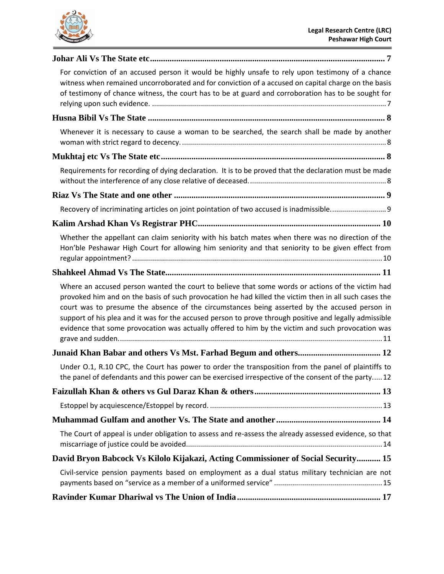

L,

| For conviction of an accused person it would be highly unsafe to rely upon testimony of a chance<br>witness when remained uncorroborated and for conviction of a accused on capital charge on the basis<br>of testimony of chance witness, the court has to be at guard and corroboration has to be sought for                                                                                                                                                                                                            |
|---------------------------------------------------------------------------------------------------------------------------------------------------------------------------------------------------------------------------------------------------------------------------------------------------------------------------------------------------------------------------------------------------------------------------------------------------------------------------------------------------------------------------|
|                                                                                                                                                                                                                                                                                                                                                                                                                                                                                                                           |
| Whenever it is necessary to cause a woman to be searched, the search shall be made by another                                                                                                                                                                                                                                                                                                                                                                                                                             |
|                                                                                                                                                                                                                                                                                                                                                                                                                                                                                                                           |
| Requirements for recording of dying declaration. It is to be proved that the declaration must be made                                                                                                                                                                                                                                                                                                                                                                                                                     |
|                                                                                                                                                                                                                                                                                                                                                                                                                                                                                                                           |
|                                                                                                                                                                                                                                                                                                                                                                                                                                                                                                                           |
|                                                                                                                                                                                                                                                                                                                                                                                                                                                                                                                           |
| Whether the appellant can claim seniority with his batch mates when there was no direction of the<br>Hon'ble Peshawar High Court for allowing him seniority and that seniority to be given effect from                                                                                                                                                                                                                                                                                                                    |
|                                                                                                                                                                                                                                                                                                                                                                                                                                                                                                                           |
| Where an accused person wanted the court to believe that some words or actions of the victim had<br>provoked him and on the basis of such provocation he had killed the victim then in all such cases the<br>court was to presume the absence of the circumstances being asserted by the accused person in<br>support of his plea and it was for the accused person to prove through positive and legally admissible<br>evidence that some provocation was actually offered to him by the victim and such provocation was |
|                                                                                                                                                                                                                                                                                                                                                                                                                                                                                                                           |
| Under O.1, R.10 CPC, the Court has power to order the transposition from the panel of plaintiffs to<br>the panel of defendants and this power can be exercised irrespective of the consent of the party 12                                                                                                                                                                                                                                                                                                                |
|                                                                                                                                                                                                                                                                                                                                                                                                                                                                                                                           |
|                                                                                                                                                                                                                                                                                                                                                                                                                                                                                                                           |
|                                                                                                                                                                                                                                                                                                                                                                                                                                                                                                                           |
| The Court of appeal is under obligation to assess and re-assess the already assessed evidence, so that                                                                                                                                                                                                                                                                                                                                                                                                                    |
| David Bryon Babcock Vs Kilolo Kijakazi, Acting Commissioner of Social Security 15                                                                                                                                                                                                                                                                                                                                                                                                                                         |
| Civil-service pension payments based on employment as a dual status military technician are not                                                                                                                                                                                                                                                                                                                                                                                                                           |
|                                                                                                                                                                                                                                                                                                                                                                                                                                                                                                                           |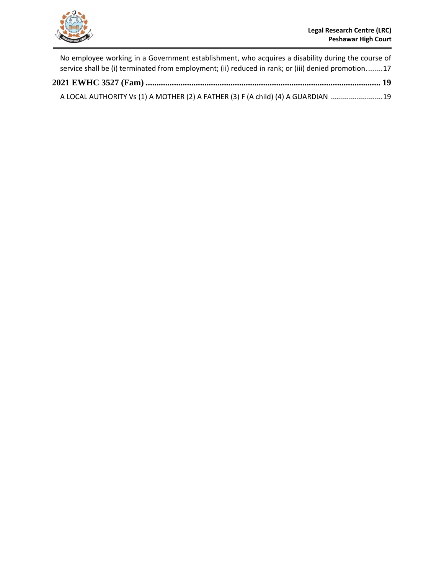

÷,

|  | No employee working in a Government establishment, who acquires a disability during the course of  |  |
|--|----------------------------------------------------------------------------------------------------|--|
|  | service shall be (i) terminated from employment; (ii) reduced in rank; or (iii) denied promotion17 |  |
|  |                                                                                                    |  |
|  | A LOCAL AUTHORITY Vs (1) A MOTHER (2) A FATHER (3) F (A child) (4) A GUARDIAN  19                  |  |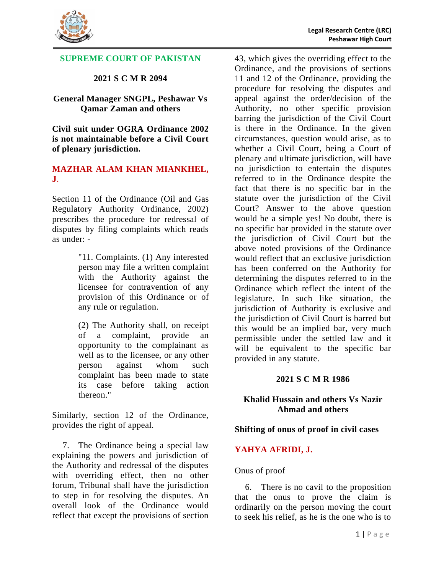

### **SUPREME COURT OF PAKISTAN**

### **2021 S C M R 2094**

#### <span id="page-4-0"></span>**General Manager SNGPL, Peshawar Vs Qamar Zaman and others**

<span id="page-4-1"></span>**Civil suit under OGRA Ordinance 2002 is not maintainable before a Civil Court of plenary jurisdiction.**

#### **MAZHAR ALAM KHAN MIANKHEL, J**.

Section 11 of the Ordinance (Oil and Gas Regulatory Authority Ordinance, 2002) prescribes the procedure for redressal of disputes by filing complaints which reads as under: -

> "11. Complaints. (1) Any interested person may file a written complaint with the Authority against the licensee for contravention of any provision of this Ordinance or of any rule or regulation.

> (2) The Authority shall, on receipt of a complaint, provide an opportunity to the complainant as well as to the licensee, or any other person against whom such complaint has been made to state its case before taking action thereon."

Similarly, section 12 of the Ordinance, provides the right of appeal.

7. The Ordinance being a special law explaining the powers and jurisdiction of the Authority and redressal of the disputes with overriding effect, then no other forum, Tribunal shall have the jurisdiction to step in for resolving the disputes. An overall look of the Ordinance would reflect that except the provisions of section

43, which gives the overriding effect to the Ordinance, and the provisions of sections 11 and 12 of the Ordinance, providing the procedure for resolving the disputes and appeal against the order/decision of the Authority, no other specific provision barring the jurisdiction of the Civil Court is there in the Ordinance. In the given circumstances, question would arise, as to whether a Civil Court, being a Court of plenary and ultimate jurisdiction, will have no jurisdiction to entertain the disputes referred to in the Ordinance despite the fact that there is no specific bar in the statute over the jurisdiction of the Civil Court? Answer to the above question would be a simple yes! No doubt, there is no specific bar provided in the statute over the jurisdiction of Civil Court but the above noted provisions of the Ordinance would reflect that an exclusive jurisdiction has been conferred on the Authority for determining the disputes referred to in the Ordinance which reflect the intent of the legislature. In such like situation, the jurisdiction of Authority is exclusive and the jurisdiction of Civil Court is barred but this would be an implied bar, very much permissible under the settled law and it will be equivalent to the specific bar provided in any statute.

#### **2021 S C M R 1986**

### <span id="page-4-2"></span>**Khalid Hussain and others Vs Nazir Ahmad and others**

#### <span id="page-4-3"></span>**Shifting of onus of proof in civil cases**

### **YAHYA AFRIDI, J.**

#### Onus of proof

6. There is no cavil to the proposition that the onus to prove the claim is ordinarily on the person moving the court to seek his relief, as he is the one who is to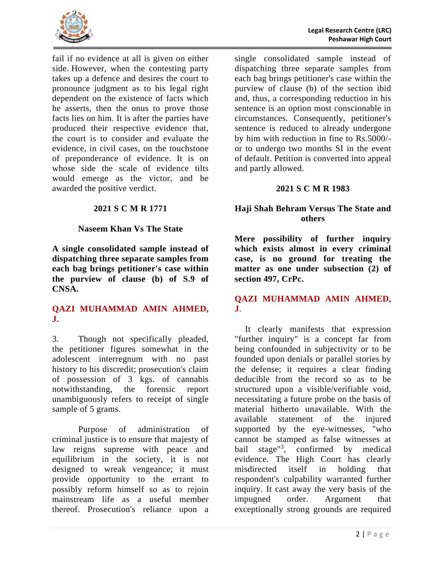

fail if no evidence at all is given on either side. However, when the contesting party takes up a defence and desires the court to pronounce judgment as to his legal right dependent on the existence of facts which he asserts, then the onus to prove those facts lies on him. It is after the parties have produced their respective evidence that, the court is to consider and evaluate the evidence, in civil cases, on the touchstone of preponderance of evidence. It is on whose side the scale of evidence tilts would emerge as the victor, and be awarded the positive verdict.

### **2021 S C M R 1771**

### **Naseem Khan Vs The State**

<span id="page-5-1"></span><span id="page-5-0"></span>**A single consolidated sample instead of dispatching three separate samples from each bag brings petitioner's case within the purview of clause (b) of S.9 of CNSA.**

### **QAZI MUHAMMAD AMIN AHMED, J.**

3. Though not specifically pleaded, the petitioner figures somewhat in the adolescent interregnum with no past history to his discredit; prosecution's claim of possession of 3 kgs. of cannabis notwithstanding, the forensic report unambiguously refers to receipt of single sample of 5 grams.

Purpose of administration of criminal justice is to ensure that majesty of law reigns supreme with peace and equilibrium in the society, it is not designed to wreak vengeance; it must provide opportunity to the errant to possibly reform himself so as to rejoin mainstream life as a useful member thereof. Prosecution's reliance upon a

single consolidated sample instead of dispatching three separate samples from each bag brings petitioner's case within the purview of clause (b) of the section ibid and, thus, a corresponding reduction in his sentence is an option most conscionable in circumstances. Consequently, petitioner's sentence is reduced to already undergone by him with reduction in fine to Rs.5000/ or to undergo two months SI in the event of default. Petition is converted into appeal and partly allowed.

### **2021 S C M R 1983**

### <span id="page-5-2"></span>**Haji Shah Behram Versus The State and others**

<span id="page-5-3"></span>**Mere possibility of further inquiry which exists almost in every criminal case, is no ground for treating the matter as one under subsection (2) of section 497, CrPc.**

### **QAZI MUHAMMAD AMIN AHMED, J**.

It clearly manifests that expression "further inquiry" is a concept far from being confounded in subjectivity or to be founded upon denials or parallel stories by the defense; it requires a clear finding deducible from the record so as to be structured upon a visible/verifiable void, necessitating a future probe on the basis of material hitherto unavailable. With the available statement of the injured supported by the eye-witnesses, "who cannot be stamped as false witnesses at bail stage"<sup>3</sup>, confirmed by medical evidence. The High Court has clearly misdirected itself in holding that respondent's culpability warranted further inquiry. It cast away the very basis of the impugned order. Argument that exceptionally strong grounds are required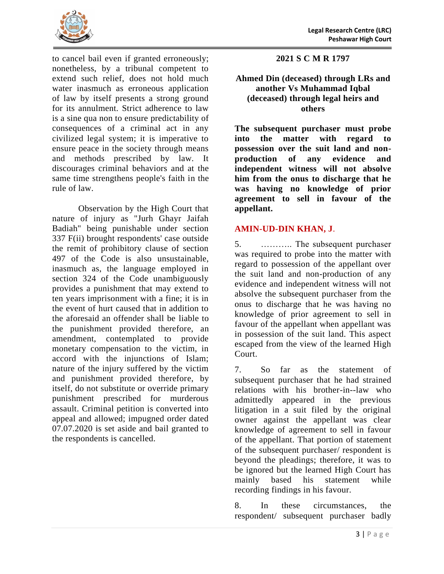

to cancel bail even if granted erroneously; nonetheless, by a tribunal competent to extend such relief, does not hold much water inasmuch as erroneous application of law by itself presents a strong ground for its annulment. Strict adherence to law is a sine qua non to ensure predictability of consequences of a criminal act in any civilized legal system; it is imperative to ensure peace in the society through means and methods prescribed by law. It discourages criminal behaviors and at the same time strengthens people's faith in the rule of law.

Observation by the High Court that nature of injury as "Jurh Ghayr Jaifah Badiah" being punishable under section 337 F(ii) brought respondents' case outside the remit of prohibitory clause of section 497 of the Code is also unsustainable, inasmuch as, the language employed in section 324 of the Code unambiguously provides a punishment that may extend to ten years imprisonment with a fine; it is in the event of hurt caused that in addition to the aforesaid an offender shall be liable to the punishment provided therefore, an amendment, contemplated to provide monetary compensation to the victim, in accord with the injunctions of Islam; nature of the injury suffered by the victim and punishment provided therefore, by itself, do not substitute or override primary punishment prescribed for murderous assault. Criminal petition is converted into appeal and allowed; impugned order dated 07.07.2020 is set aside and bail granted to the respondents is cancelled.

**2021 S C M R 1797**

### <span id="page-6-0"></span>**Ahmed Din (deceased) through LRs and another Vs Muhammad Iqbal (deceased) through legal heirs and others**

<span id="page-6-1"></span>**The subsequent purchaser must probe into the matter with regard to possession over the suit land and nonproduction of any evidence and independent witness will not absolve him from the onus to discharge that he was having no knowledge of prior agreement to sell in favour of the appellant.**

# **AMIN-UD-DIN KHAN, J**.

5. ……….. The subsequent purchaser was required to probe into the matter with regard to possession of the appellant over the suit land and non-production of any evidence and independent witness will not absolve the subsequent purchaser from the onus to discharge that he was having no knowledge of prior agreement to sell in favour of the appellant when appellant was in possession of the suit land. This aspect escaped from the view of the learned High Court.

7. So far as the statement of subsequent purchaser that he had strained relations with his brother-in--law who admittedly appeared in the previous litigation in a suit filed by the original owner against the appellant was clear knowledge of agreement to sell in favour of the appellant. That portion of statement of the subsequent purchaser/ respondent is beyond the pleadings; therefore, it was to be ignored but the learned High Court has mainly based his statement while recording findings in his favour.

8. In these circumstances, the respondent/ subsequent purchaser badly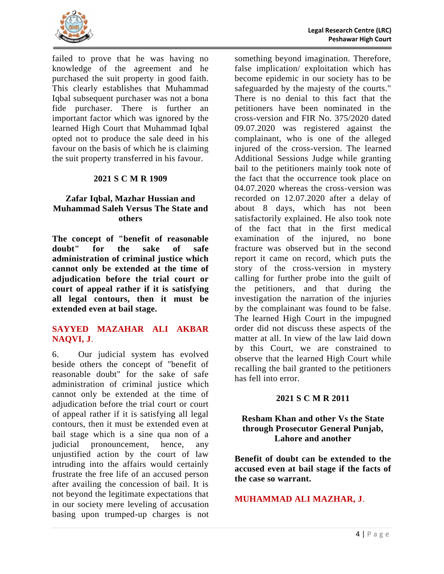

failed to prove that he was having no knowledge of the agreement and he purchased the suit property in good faith. This clearly establishes that Muhammad Iqbal subsequent purchaser was not a bona fide purchaser. There is further an important factor which was ignored by the learned High Court that Muhammad Iqbal opted not to produce the sale deed in his favour on the basis of which he is claiming the suit property transferred in his favour.

### **2021 S C M R 1909**

### <span id="page-7-0"></span>**Zafar Iqbal, Mazhar Hussian and Muhammad Saleh Versus The State and others**

<span id="page-7-1"></span>**The concept of "benefit of reasonable doubt" for the sake of safe administration of criminal justice which cannot only be extended at the time of adjudication before the trial court or court of appeal rather if it is satisfying all legal contours, then it must be extended even at bail stage.**

### **SAYYED MAZAHAR ALI AKBAR NAQVI, J**.

6. Our judicial system has evolved beside others the concept of "benefit of reasonable doubt" for the sake of safe administration of criminal justice which cannot only be extended at the time of adjudication before the trial court or court of appeal rather if it is satisfying all legal contours, then it must be extended even at bail stage which is a sine qua non of a judicial pronouncement, hence, any unjustified action by the court of law intruding into the affairs would certainly frustrate the free life of an accused person after availing the concession of bail. It is not beyond the legitimate expectations that in our society mere leveling of accusation basing upon trumped-up charges is not

something beyond imagination. Therefore, false implication/ exploitation which has become epidemic in our society has to be safeguarded by the majesty of the courts." There is no denial to this fact that the petitioners have been nominated in the cross-version and FIR No. 375/2020 dated 09.07.2020 was registered against the complainant, who is one of the alleged injured of the cross-version. The learned Additional Sessions Judge while granting bail to the petitioners mainly took note of the fact that the occurrence took place on 04.07.2020 whereas the cross-version was recorded on 12.07.2020 after a delay of about 8 days, which has not been satisfactorily explained. He also took note of the fact that in the first medical examination of the injured, no bone fracture was observed but in the second report it came on record, which puts the story of the cross-version in mystery calling for further probe into the guilt of the petitioners, and that during the investigation the narration of the injuries by the complainant was found to be false. The learned High Court in the impugned order did not discuss these aspects of the matter at all. In view of the law laid down by this Court, we are constrained to observe that the learned High Court while recalling the bail granted to the petitioners has fell into error.

#### **2021 S C M R 2011**

### <span id="page-7-2"></span>**Resham Khan and other Vs the State through Prosecutor General Punjab, Lahore and another**

<span id="page-7-3"></span>**Benefit of doubt can be extended to the accused even at bail stage if the facts of the case so warrant.**

### **MUHAMMAD ALI MAZHAR, J**.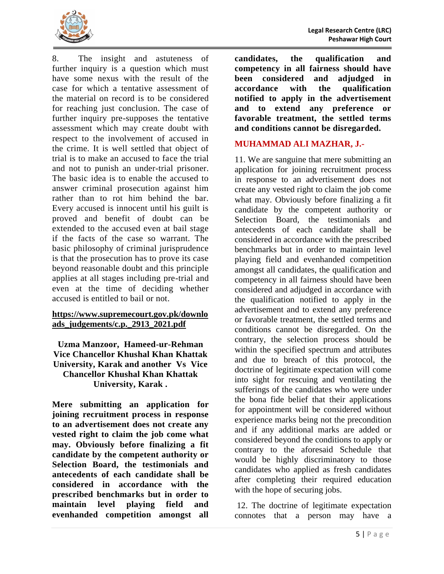

8. The insight and astuteness of further inquiry is a question which must have some nexus with the result of the case for which a tentative assessment of the material on record is to be considered for reaching just conclusion. The case of further inquiry pre-supposes the tentative assessment which may create doubt with respect to the involvement of accused in the crime. It is well settled that object of trial is to make an accused to face the trial and not to punish an under-trial prisoner. The basic idea is to enable the accused to answer criminal prosecution against him rather than to rot him behind the bar. Every accused is innocent until his guilt is proved and benefit of doubt can be extended to the accused even at bail stage if the facts of the case so warrant. The basic philosophy of criminal jurisprudence is that the prosecution has to prove its case beyond reasonable doubt and this principle applies at all stages including pre-trial and even at the time of deciding whether accused is entitled to bail or not.

### **[https://www.supremecourt.gov.pk/downlo](https://www.supremecourt.gov.pk/downloads_judgements/c.p._2913_2021.pdf) [ads\\_judgements/c.p.\\_2913\\_2021.pdf](https://www.supremecourt.gov.pk/downloads_judgements/c.p._2913_2021.pdf)**

### <span id="page-8-0"></span>**Uzma Manzoor, Hameed-ur-Rehman Vice Chancellor Khushal Khan Khattak University, Karak and another Vs Vice Chancellor Khushal Khan Khattak University, Karak .**

<span id="page-8-1"></span>**Mere submitting an application for joining recruitment process in response to an advertisement does not create any vested right to claim the job come what may. Obviously before finalizing a fit candidate by the competent authority or Selection Board, the testimonials and antecedents of each candidate shall be considered in accordance with the prescribed benchmarks but in order to maintain level playing field and evenhanded competition amongst all** 

**candidates, the qualification and competency in all fairness should have been considered and adjudged in accordance with the qualification notified to apply in the advertisement and to extend any preference or favorable treatment, the settled terms and conditions cannot be disregarded.**

### **MUHAMMAD ALI MAZHAR, J.-**

11. We are sanguine that mere submitting an application for joining recruitment process in response to an advertisement does not create any vested right to claim the job come what may. Obviously before finalizing a fit candidate by the competent authority or Selection Board, the testimonials and antecedents of each candidate shall be considered in accordance with the prescribed benchmarks but in order to maintain level playing field and evenhanded competition amongst all candidates, the qualification and competency in all fairness should have been considered and adjudged in accordance with the qualification notified to apply in the advertisement and to extend any preference or favorable treatment, the settled terms and conditions cannot be disregarded. On the contrary, the selection process should be within the specified spectrum and attributes and due to breach of this protocol, the doctrine of legitimate expectation will come into sight for rescuing and ventilating the sufferings of the candidates who were under the bona fide belief that their applications for appointment will be considered without experience marks being not the precondition and if any additional marks are added or considered beyond the conditions to apply or contrary to the aforesaid Schedule that would be highly discriminatory to those candidates who applied as fresh candidates after completing their required education with the hope of securing jobs.

12. The doctrine of legitimate expectation connotes that a person may have a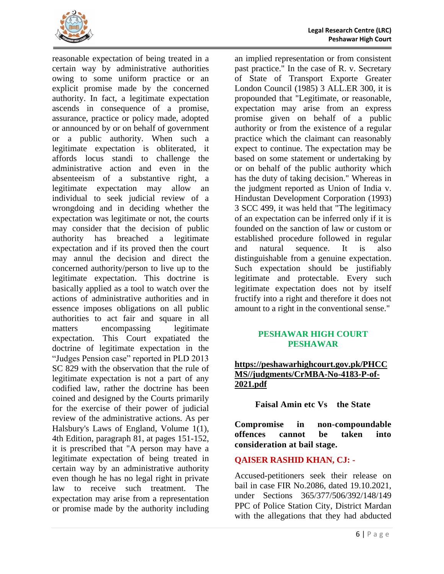

reasonable expectation of being treated in a certain way by administrative authorities owing to some uniform practice or an explicit promise made by the concerned authority. In fact, a legitimate expectation ascends in consequence of a promise, assurance, practice or policy made, adopted or announced by or on behalf of government or a public authority. When such a legitimate expectation is obliterated, it affords locus standi to challenge the administrative action and even in the absenteeism of a substantive right, a legitimate expectation may allow an individual to seek judicial review of a wrongdoing and in deciding whether the expectation was legitimate or not, the courts may consider that the decision of public authority has breached a legitimate expectation and if its proved then the court may annul the decision and direct the concerned authority/person to live up to the legitimate expectation. This doctrine is basically applied as a tool to watch over the actions of administrative authorities and in essence imposes obligations on all public authorities to act fair and square in all matters encompassing legitimate expectation. This Court expatiated the doctrine of legitimate expectation in the "Judges Pension case" reported in PLD 2013 SC 829 with the observation that the rule of legitimate expectation is not a part of any codified law, rather the doctrine has been coined and designed by the Courts primarily for the exercise of their power of judicial review of the administrative actions. As per Halsbury's Laws of England, Volume 1(1), 4th Edition, paragraph 81, at pages 151-152, it is prescribed that "A person may have a legitimate expectation of being treated in certain way by an administrative authority even though he has no legal right in private law to receive such treatment. The expectation may arise from a representation or promise made by the authority including

an implied representation or from consistent past practice." In the case of R. v. Secretary of State of Transport Exporte Greater London Council (1985) 3 ALL.ER 300, it is propounded that "Legitimate, or reasonable, expectation may arise from an express promise given on behalf of a public authority or from the existence of a regular practice which the claimant can reasonably expect to continue. The expectation may be based on some statement or undertaking by or on behalf of the public authority which has the duty of taking decision." Whereas in the judgment reported as Union of India v. Hindustan Development Corporation (1993) 3 SCC 499, it was held that "The legitimacy of an expectation can be inferred only if it is founded on the sanction of law or custom or established procedure followed in regular and natural sequence. It is also distinguishable from a genuine expectation. Such expectation should be justifiably legitimate and protectable. Every such legitimate expectation does not by itself fructify into a right and therefore it does not amount to a right in the conventional sense."

### **PESHAWAR HIGH COURT PESHAWAR**

# **[https://peshawarhighcourt.gov.pk/PHCC](https://peshawarhighcourt.gov.pk/PHCCMS/judgments/CrMBA-No-4183-P-of-2021.pdf) [MS//judgments/CrMBA-No-4183-P-of-](https://peshawarhighcourt.gov.pk/PHCCMS/judgments/CrMBA-No-4183-P-of-2021.pdf)[2021.pdf](https://peshawarhighcourt.gov.pk/PHCCMS/judgments/CrMBA-No-4183-P-of-2021.pdf)**

<span id="page-9-0"></span>**Faisal Amin etc Vs the State**

<span id="page-9-1"></span>**Compromise in non-compoundable offences cannot be taken into consideration at bail stage.**

# **QAISER RASHID KHAN, CJ: -**

Accused-petitioners seek their release on bail in case FIR No.2086, dated 19.10.2021, under Sections 365/377/506/392/148/149 PPC of Police Station City, District Mardan with the allegations that they had abducted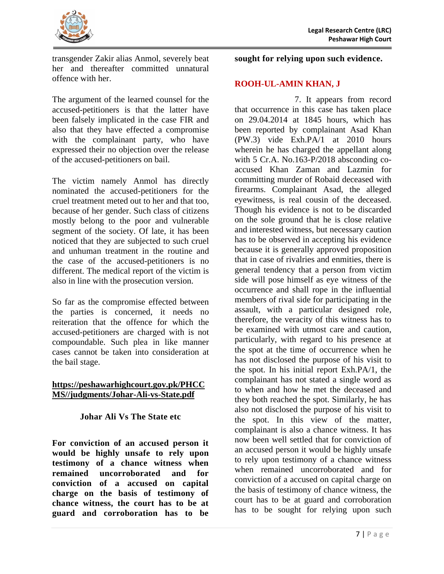

transgender Zakir alias Anmol, severely beat her and thereafter committed unnatural offence with her.

The argument of the learned counsel for the accused-petitioners is that the latter have been falsely implicated in the case FIR and also that they have effected a compromise with the complainant party, who have expressed their no objection over the release of the accused-petitioners on bail.

The victim namely Anmol has directly nominated the accused-petitioners for the cruel treatment meted out to her and that too, because of her gender. Such class of citizens mostly belong to the poor and vulnerable segment of the society. Of late, it has been noticed that they are subjected to such cruel and unhuman treatment in the routine and the case of the accused-petitioners is no different. The medical report of the victim is also in line with the prosecution version.

So far as the compromise effected between the parties is concerned, it needs no reiteration that the offence for which the accused-petitioners are charged with is not compoundable. Such plea in like manner cases cannot be taken into consideration at the bail stage.

### **[https://peshawarhighcourt.gov.pk/PHCC](https://peshawarhighcourt.gov.pk/PHCCMS/judgments/Johar-Ali-vs-State.pdf) [MS//judgments/Johar-Ali-vs-State.pdf](https://peshawarhighcourt.gov.pk/PHCCMS/judgments/Johar-Ali-vs-State.pdf)**

# **Johar Ali Vs The State etc**

<span id="page-10-1"></span><span id="page-10-0"></span>**For conviction of an accused person it would be highly unsafe to rely upon testimony of a chance witness when remained uncorroborated and for conviction of a accused on capital charge on the basis of testimony of chance witness, the court has to be at guard and corroboration has to be** 

### **sought for relying upon such evidence.**

# **ROOH-UL-AMIN KHAN, J**

7. It appears from record that occurrence in this case has taken place on 29.04.2014 at 1845 hours, which has been reported by complainant Asad Khan (PW.3) vide Exh.PA/1 at 2010 hours wherein he has charged the appellant along with 5 Cr.A. No.163-P/2018 absconding coaccused Khan Zaman and Lazmin for committing murder of Robaid deceased with firearms. Complainant Asad, the alleged eyewitness, is real cousin of the deceased. Though his evidence is not to be discarded on the sole ground that he is close relative and interested witness, but necessary caution has to be observed in accepting his evidence because it is generally approved proposition that in case of rivalries and enmities, there is general tendency that a person from victim side will pose himself as eye witness of the occurrence and shall rope in the influential members of rival side for participating in the assault, with a particular designed role, therefore, the veracity of this witness has to be examined with utmost care and caution, particularly, with regard to his presence at the spot at the time of occurrence when he has not disclosed the purpose of his visit to the spot. In his initial report Exh.PA/1, the complainant has not stated a single word as to when and how he met the deceased and they both reached the spot. Similarly, he has also not disclosed the purpose of his visit to the spot. In this view of the matter, complainant is also a chance witness. It has now been well settled that for conviction of an accused person it would be highly unsafe to rely upon testimony of a chance witness when remained uncorroborated and for conviction of a accused on capital charge on the basis of testimony of chance witness, the court has to be at guard and corroboration has to be sought for relying upon such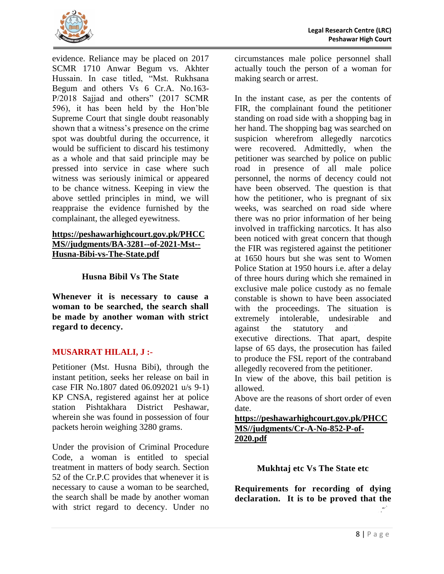

evidence. Reliance may be placed on 2017 SCMR 1710 Anwar Begum vs. Akhter Hussain. In case titled, "Mst. Rukhsana Begum and others Vs 6 Cr.A. No.163- P/2018 Sajjad and others" (2017 SCMR 596), it has been held by the Hon'ble Supreme Court that single doubt reasonably shown that a witness's presence on the crime spot was doubtful during the occurrence, it would be sufficient to discard his testimony as a whole and that said principle may be pressed into service in case where such witness was seriously inimical or appeared to be chance witness. Keeping in view the above settled principles in mind, we will reappraise the evidence furnished by the complainant, the alleged eyewitness.

### **[https://peshawarhighcourt.gov.pk/PHCC](https://peshawarhighcourt.gov.pk/PHCCMS/judgments/BA-3281--of-2021-Mst--Husna-Bibi-vs-The-State.pdf) [MS//judgments/BA-3281--of-2021-Mst--](https://peshawarhighcourt.gov.pk/PHCCMS/judgments/BA-3281--of-2021-Mst--Husna-Bibi-vs-The-State.pdf) [Husna-Bibi-vs-The-State.pdf](https://peshawarhighcourt.gov.pk/PHCCMS/judgments/BA-3281--of-2021-Mst--Husna-Bibi-vs-The-State.pdf)**

### **Husna Bibil Vs The State**

<span id="page-11-1"></span><span id="page-11-0"></span>**Whenever it is necessary to cause a woman to be searched, the search shall be made by another woman with strict regard to decency.** 

### **MUSARRAT HILALI, J :-**

Petitioner (Mst. Husna Bibi), through the instant petition, seeks her release on bail in case FIR No.1807 dated 06.092021 u/s 9-1) KP CNSA, registered against her at police station Pishtakhara District Peshawar, wherein she was found in possession of four packets heroin weighing 3280 grams.

Under the provision of Criminal Procedure Code, a woman is entitled to special treatment in matters of body search. Section 52 of the Cr.P.C provides that whenever it is necessary to cause a woman to be searched, the search shall be made by another woman with strict regard to decency. Under no

circumstances male police personnel shall actually touch the person of a woman for making search or arrest.

In the instant case, as per the contents of FIR, the complainant found the petitioner standing on road side with a shopping bag in her hand. The shopping bag was searched on suspicion wherefrom allegedly narcotics were recovered. Admittedly, when the petitioner was searched by police on public road in presence of all male police personnel, the norms of decency could not have been observed. The question is that how the petitioner, who is pregnant of six weeks, was searched on road side where there was no prior information of her being involved in trafficking narcotics. It has also been noticed with great concern that though the FIR was registered against the petitioner at 1650 hours but she was sent to Women Police Station at 1950 hours i.e. after a delay of three hours during which she remained in exclusive male police custody as no female constable is shown to have been associated with the proceedings. The situation is extremely intolerable, undesirable and against the statutory and

executive directions. That apart, despite lapse of 65 days, the prosecution has failed to produce the FSL report of the contraband allegedly recovered from the petitioner.

In view of the above, this bail petition is allowed.

Above are the reasons of short order of even date.

**[https://peshawarhighcourt.gov.pk/PHCC](https://peshawarhighcourt.gov.pk/PHCCMS/judgments/Cr-A-No-852-P-of-2020.pdf) [MS//judgments/Cr-A-No-852-P-of-](https://peshawarhighcourt.gov.pk/PHCCMS/judgments/Cr-A-No-852-P-of-2020.pdf)[2020.pdf](https://peshawarhighcourt.gov.pk/PHCCMS/judgments/Cr-A-No-852-P-of-2020.pdf)**

**Mukhtaj etc Vs The State etc**

<span id="page-11-3"></span><span id="page-11-2"></span>**Requirements for recording of dying declaration. It is to be proved that the** ا جمعي.<br>ا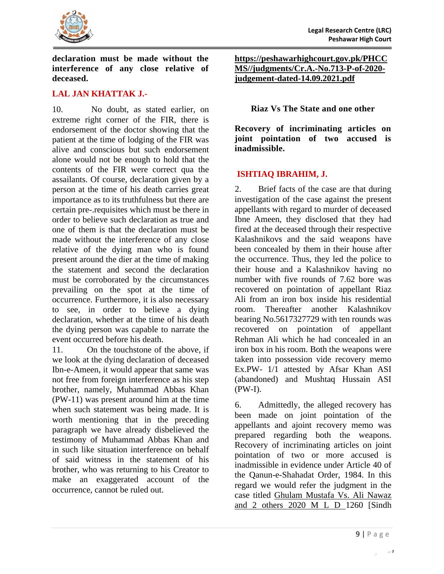

**declaration must be made without the interference of any close relative of deceased.**

### **LAL JAN KHATTAK J.-**

10. No doubt, as stated earlier, on extreme right corner of the FIR, there is endorsement of the doctor showing that the patient at the time of lodging of the FIR was alive and conscious but such endorsement alone would not be enough to hold that the contents of the FIR were correct qua the assailants. Of course, declaration given by a person at the time of his death carries great importance as to its truthfulness but there are certain pre-.requisites which must be there in order to believe such declaration as true and one of them is that the declaration must be made without the interference of any close relative of the dying man who is found present around the dier at the time of making the statement and second the declaration must be corroborated by the circumstances prevailing on the spot at the time of occurrence. Furthermore, it is also necessary to see, in order to believe a dying declaration, whether at the time of his death the dying person was capable to narrate the event occurred before his death.

11. On the touchstone of the above, if we look at the dying declaration of deceased Ibn-e-Ameen, it would appear that same was not free from foreign interference as his step brother, namely, Muhammad Abbas Khan (PW-11) was present around him at the time when such statement was being made. It is worth mentioning that in the preceding paragraph we have already disbelieved the testimony of Muhammad Abbas Khan and in such like situation interference on behalf of said witness in the statement of his brother, who was returning to his Creator to make an exaggerated account of the occurrence, cannot be ruled out.

**[https://peshawarhighcourt.gov.pk/PHCC](https://peshawarhighcourt.gov.pk/PHCCMS/judgments/Cr.A.-No.713-P-of-2020-judgement-dated-14.09.2021.pdf) [MS//judgments/Cr.A.-No.713-P-of-2020](https://peshawarhighcourt.gov.pk/PHCCMS/judgments/Cr.A.-No.713-P-of-2020-judgement-dated-14.09.2021.pdf) [judgement-dated-14.09.2021.pdf](https://peshawarhighcourt.gov.pk/PHCCMS/judgments/Cr.A.-No.713-P-of-2020-judgement-dated-14.09.2021.pdf)**

#### <span id="page-12-0"></span>**Riaz Vs The State and one other**

<span id="page-12-1"></span>**Recovery of incriminating articles on joint pointation of two accused is inadmissible.**

### **ISHTIAQ IBRAHIM, J.**

2. Brief facts of the case are that during investigation of the case against the present appellants with regard to murder of deceased Ibne Ameen, they disclosed that they had fired at the deceased through their respective Kalashnikovs and the said weapons have been concealed by them in their house after the occurrence. Thus, they led the police to their house and a Kalashnikov having no number with five rounds of 7.62 bore was recovered on pointation of appellant Riaz Ali from an iron box inside his residential room. Thereafter another Kalashnikov bearing No.5617327729 with ten rounds was recovered on pointation of appellant Rehman Ali which he had concealed in an iron box in his room. Both the weapons were taken into possession vide recovery memo Ex.PW- 1/1 attested by Afsar Khan ASI (abandoned) and Mushtaq Hussain ASI (PW-I).

6. Admittedly, the alleged recovery has been made on joint pointation of the appellants and ajoint recovery memo was prepared regarding both the weapons. Recovery of incriminating articles on joint pointation of two or more accused is inadmissible in evidence under Article 40 of the Qanun-e-Shahadat Order, 1984. In this regard we would refer the judgment in the case titled Ghulam Mustafa Vs. Ali Nawaz and 2 others 2020 M L D 1260 [Sindh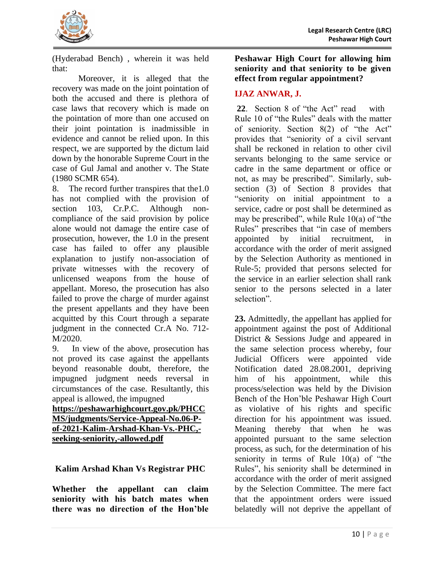

(Hyderabad Bench) , wherein it was held that:

Moreover, it is alleged that the recovery was made on the joint pointation of both the accused and there is plethora of case laws that recovery which is made on the pointation of more than one accused on their joint pointation is inadmissible in evidence and cannot be relied upon. In this respect, we are supported by the dictum laid down by the honorable Supreme Court in the case of Gul Jamal and another v. The State (1980 SCMR 654).

8. The record further transpires that the1.0 has not complied with the provision of section 103, Cr.P.C. Although noncompliance of the said provision by police alone would not damage the entire case of prosecution, however, the 1.0 in the present case has failed to offer any plausible explanation to justify non-association of private witnesses with the recovery of unlicensed weapons from the house of appellant. Moreso, the prosecution has also failed to prove the charge of murder against the present appellants and they have been acquitted by this Court through a separate judgment in the connected Cr.A No. 712- M/2020.

9. In view of the above, prosecution has not proved its case against the appellants beyond reasonable doubt, therefore, the impugned judgment needs reversal in circumstances of the case. Resultantly, this appeal is allowed, the impugned

**[https://peshawarhighcourt.gov.pk/PHCC](https://peshawarhighcourt.gov.pk/PHCCMS/judgments/Service-Appeal-No.06-P-of-2021-Kalim-Arshad-Khan-Vs.-PHC,-seeking-seniority,-allowed.pdf) [MS/judgments/Service-Appeal-No.06-P](https://peshawarhighcourt.gov.pk/PHCCMS/judgments/Service-Appeal-No.06-P-of-2021-Kalim-Arshad-Khan-Vs.-PHC,-seeking-seniority,-allowed.pdf)[of-2021-Kalim-Arshad-Khan-Vs.-PHC,](https://peshawarhighcourt.gov.pk/PHCCMS/judgments/Service-Appeal-No.06-P-of-2021-Kalim-Arshad-Khan-Vs.-PHC,-seeking-seniority,-allowed.pdf) [seeking-seniority,-allowed.pdf](https://peshawarhighcourt.gov.pk/PHCCMS/judgments/Service-Appeal-No.06-P-of-2021-Kalim-Arshad-Khan-Vs.-PHC,-seeking-seniority,-allowed.pdf)**

<span id="page-13-0"></span>**Kalim Arshad Khan Vs Registrar PHC**

<span id="page-13-1"></span>**Whether the appellant can claim seniority with his batch mates when there was no direction of the Hon'ble** 

**Peshawar High Court for allowing him seniority and that seniority to be given effect from regular appointment?**

### **IJAZ ANWAR, J.**

22. Section 8 of "the Act" read with Rule 10 of "the Rules" deals with the matter of seniority. Section 8(2) of "the Act" provides that "seniority of a civil servant shall be reckoned in relation to other civil servants belonging to the same service or cadre in the same department or office or not, as may be prescribed". Similarly, subsection (3) of Section 8 provides that "seniority on initial appointment to a service, cadre or post shall be determined as may be prescribed", while Rule 10(a) of "the Rules" prescribes that "in case of members appointed by initial recruitment, accordance with the order of merit assigned by the Selection Authority as mentioned in Rule-5; provided that persons selected for the service in an earlier selection shall rank senior to the persons selected in a later selection".

**23.** Admittedly, the appellant has applied for appointment against the post of Additional District & Sessions Judge and appeared in the same selection process whereby, four Judicial Officers were appointed vide Notification dated 28.08.2001, depriving him of his appointment, while this process/selection was held by the Division Bench of the Hon'ble Peshawar High Court as violative of his rights and specific direction for his appointment was issued. Meaning thereby that when he was appointed pursuant to the same selection process, as such, for the determination of his seniority in terms of Rule 10(a) of "the Rules", his seniority shall be determined in accordance with the order of merit assigned by the Selection Committee. The mere fact that the appointment orders were issued belatedly will not deprive the appellant of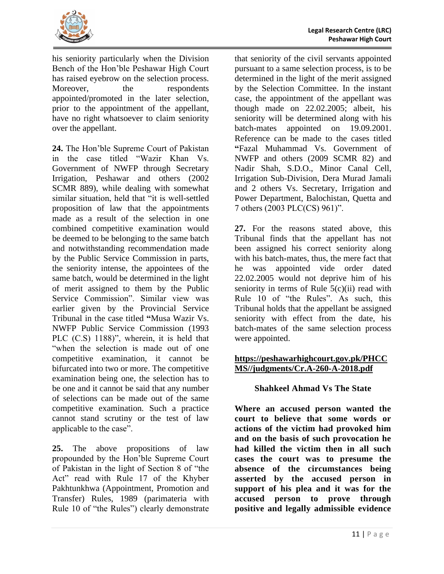

his seniority particularly when the Division Bench of the Hon'ble Peshawar High Court has raised eyebrow on the selection process. Moreover, the respondents appointed/promoted in the later selection, prior to the appointment of the appellant, have no right whatsoever to claim seniority over the appellant.

**24.** The Hon'ble Supreme Court of Pakistan in the case titled "Wazir Khan Vs. Government of NWFP through Secretary Irrigation, Peshawar and others (2002 SCMR 889), while dealing with somewhat similar situation, held that "it is well-settled proposition of law that the appointments made as a result of the selection in one combined competitive examination would be deemed to be belonging to the same batch and notwithstanding recommendation made by the Public Service Commission in parts, the seniority intense, the appointees of the same batch, would be determined in the light of merit assigned to them by the Public Service Commission". Similar view was earlier given by the Provincial Service Tribunal in the case titled **"**Musa Wazir Vs. NWFP Public Service Commission (1993 PLC (C.S) 1188)", wherein, it is held that "when the selection is made out of one competitive examination, it cannot be bifurcated into two or more. The competitive examination being one, the selection has to be one and it cannot be said that any number of selections can be made out of the same competitive examination. Such a practice cannot stand scrutiny or the test of law applicable to the case".

**25.** The above propositions of law propounded by the Hon'ble Supreme Court of Pakistan in the light of Section 8 of "the Act" read with Rule 17 of the Khyber Pakhtunkhwa (Appointment, Promotion and Transfer) Rules, 1989 (parimateria with Rule 10 of "the Rules") clearly demonstrate

that seniority of the civil servants appointed pursuant to a same selection process, is to be determined in the light of the merit assigned by the Selection Committee. In the instant case, the appointment of the appellant was though made on 22.02.2005; albeit, his seniority will be determined along with his batch-mates appointed on 19.09.2001. Reference can be made to the cases titled **"**Fazal Muhammad Vs. Government of NWFP and others (2009 SCMR 82) and Nadir Shah, S.D.O., Minor Canal Cell, Irrigation Sub-Division, Dera Murad Jamali and 2 others Vs. Secretary, Irrigation and Power Department, Balochistan, Quetta and 7 others (2003 PLC(CS) 961)".

**27.** For the reasons stated above, this Tribunal finds that the appellant has not been assigned his correct seniority along with his batch-mates, thus, the mere fact that he was appointed vide order dated 22.02.2005 would not deprive him of his seniority in terms of Rule  $5(c)(ii)$  read with Rule 10 of "the Rules". As such, this Tribunal holds that the appellant be assigned seniority with effect from the date, his batch-mates of the same selection process were appointed.

### **[https://peshawarhighcourt.gov.pk/PHCC](https://peshawarhighcourt.gov.pk/PHCCMS/judgments/Cr.A-260-A-2018.pdf) [MS//judgments/Cr.A-260-A-2018.pdf](https://peshawarhighcourt.gov.pk/PHCCMS/judgments/Cr.A-260-A-2018.pdf)**

# <span id="page-14-0"></span>**Shahkeel Ahmad Vs The State**

<span id="page-14-1"></span>**Where an accused person wanted the court to believe that some words or actions of the victim had provoked him and on the basis of such provocation he had killed the victim then in all such cases the court was to presume the absence of the circumstances being asserted by the accused person in support of his plea and it was for the accused person to prove through positive and legally admissible evidence**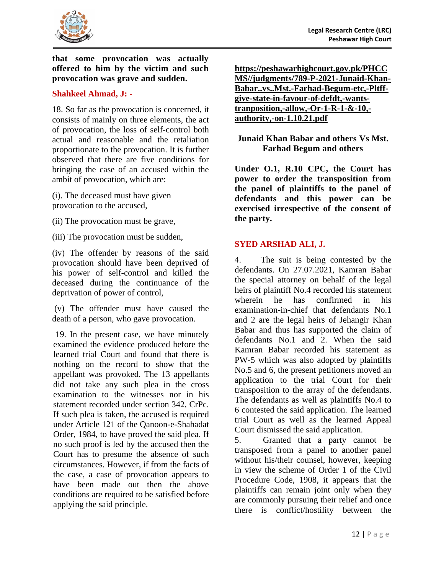

**that some provocation was actually offered to him by the victim and such provocation was grave and sudden.**

### **Shahkeel Ahmad, J: -**

18. So far as the provocation is concerned, it consists of mainly on three elements, the act of provocation, the loss of self-control both actual and reasonable and the retaliation proportionate to the provocation. It is further observed that there are five conditions for bringing the case of an accused within the ambit of provocation, which are:

(i). The deceased must have given provocation to the accused,

- (ii) The provocation must be grave,
- (iii) The provocation must be sudden,

(iv) The offender by reasons of the said provocation should have been deprived of his power of self-control and killed the deceased during the continuance of the deprivation of power of control,

(v) The offender must have caused the death of a person, who gave provocation.

19. In the present case, we have minutely examined the evidence produced before the learned trial Court and found that there is nothing on the record to show that the appellant was provoked. The 13 appellants did not take any such plea in the cross examination to the witnesses nor in his statement recorded under section 342, CrPc. If such plea is taken, the accused is required under Article 121 of the Qanoon-e-Shahadat Order, 1984, to have proved the said plea. If no such proof is led by the accused then the Court has to presume the absence of such circumstances. However, if from the facts of the case, a case of provocation appears to have been made out then the above conditions are required to be satisfied before applying the said principle.

| https://peshawarhighcourt.gov.pk/PHCC     |
|-------------------------------------------|
| MS//judgments/789-P-2021-Junaid-Khan-     |
| BabarvsMst.-Farhad-Begum-etc,-Pltff-      |
| give-state-in-favour-of-defdt,-wants-     |
| tranposition,-allow,-Or-1-R-1- $\&$ -10,- |
| authority,-on-1.10.21.pdf                 |

### <span id="page-15-0"></span>**Junaid Khan Babar and others Vs Mst. Farhad Begum and others**

<span id="page-15-1"></span>**Under O.1, R.10 CPC, the Court has power to order the transposition from the panel of plaintiffs to the panel of defendants and this power can be exercised irrespective of the consent of the party.**

### **SYED ARSHAD ALI, J.**

4. The suit is being contested by the defendants. On 27.07.2021, Kamran Babar the special attorney on behalf of the legal heirs of plaintiff No.4 recorded his statement wherein he has confirmed in his examination-in-chief that defendants No.1 and 2 are the legal heirs of Jehangir Khan Babar and thus has supported the claim of defendants No.1 and 2. When the said Kamran Babar recorded his statement as PW-5 which was also adopted by plaintiffs No.5 and 6, the present petitioners moved an application to the trial Court for their transposition to the array of the defendants. The defendants as well as plaintiffs No.4 to 6 contested the said application. The learned trial Court as well as the learned Appeal Court dismissed the said application.

5. Granted that a party cannot be transposed from a panel to another panel without his/their counsel, however, keeping in view the scheme of Order 1 of the Civil Procedure Code, 1908, it appears that the plaintiffs can remain joint only when they are commonly pursuing their relief and once there is conflict/hostility between the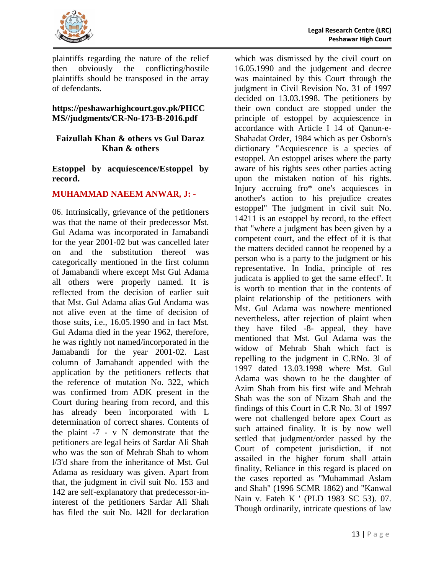

plaintiffs regarding the nature of the relief then obviously the conflicting/hostile plaintiffs should be transposed in the array of defendants.

### **https://peshawarhighcourt.gov.pk/PHCC MS//judgments/CR-No-173-B-2016.pdf**

### <span id="page-16-0"></span>**Faizullah Khan & others vs Gul Daraz Khan & others**

### <span id="page-16-1"></span>**Estoppel by acquiescence/Estoppel by record.**

### **MUHAMMAD NAEEM ANWAR, J: -**

06. Intrinsically, grievance of the petitioners was that the name of their predecessor Mst. Gul Adama was incorporated in Jamabandi for the year 2001-02 but was cancelled later on and the substitution thereof was categorically mentioned in the first column of Jamabandi where except Mst Gul Adama all others were properly named. It is reflected from the decision of earlier suit that Mst. Gul Adama alias Gul Andama was not alive even at the time of decision of those suits, i.e., 16.05.1990 and in fact Mst. Gul Adama died in the year 1962, therefore, he was rightly not named/incorporated in the Jamabandi for the year 2001-02. Last column of Jamabandt appended with the application by the petitioners reflects that the reference of mutation No. 322, which was confirmed from ADK present in the Court during hearing from record, and this has already been incorporated with L determination of correct shares. Contents of the plaint -7 - v N demonstrate that the petitioners are legal heirs of Sardar Ali Shah who was the son of Mehrab Shah to whom l/3'd share from the inheritance of Mst. Gul Adama as residuary was given. Apart from that, the judgment in civil suit No. 153 and 142 are self-explanatory that predecessor-ininterest of the petitioners Sardar Ali Shah has filed the suit No. l42ll for declaration

which was dismissed by the civil court on 16.05.1990 and the judgement and decree was maintained by this Court through the judgment in Civil Revision No. 31 of 1997 decided on 13.03.1998. The petitioners by their own conduct are stopped under the principle of estoppel by acquiescence in accordance with Article I 14 of Qanun-e-Shahadat Order, 1984 which as per Osborn's dictionary "Acquiescence is a species of estoppel. An estoppel arises where the party aware of his rights sees other parties acting upon the mistaken notion of his rights. Injury accruing fro\* one's acquiesces in another's action to his prejudice creates estoppel" The judgment in civil suit No. 14211 is an estoppel by record, to the effect that "where a judgment has been given by a competent court, and the effect of it is that the matters decided cannot be reopened by a person who is a party to the judgment or his representative. In India, principle of res judicata is applied to get the same effecf'. It is worth to mention that in the contents of plaint relationship of the petitioners with Mst. Gul Adama was nowhere mentioned nevertheless, after rejection of plaint when they have filed -8- appeal, they have mentioned that Mst. Gul Adama was the widow of Mehrab Shah which fact is repelling to the judgment in C.RNo. 3l of 1997 dated 13.03.1998 where Mst. Gul Adama was shown to be the daughter of Azim Shah from his first wife and Mehrab Shah was the son of Nizam Shah and the findings of this Court in C.R No. 3l of 1997 were not challenged before apex Court as such attained finality. It is by now well settled that judgment/order passed by the Court of competent jurisdiction, if not assailed in the higher forum shall attain finality, Reliance in this regard is placed on the cases reported as "Muhammad Aslam and Shah" (1996 SCMR 1862) and "Kanwal Nain v. Fateh K ' (PLD 1983 SC 53). 07. Though ordinarily, intricate questions of law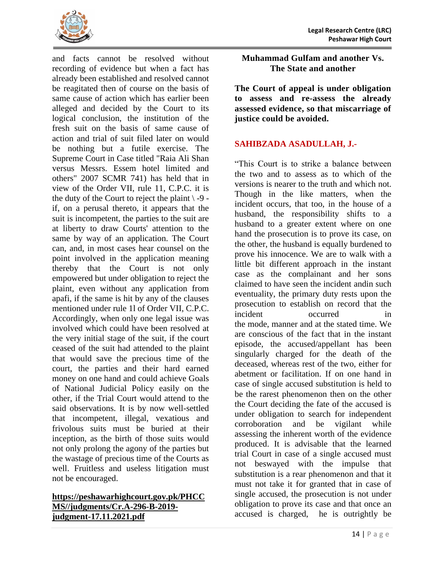

and facts cannot be resolved without recording of evidence but when a fact has already been established and resolved cannot be reagitated then of course on the basis of same cause of action which has earlier been alleged and decided by the Court to its logical conclusion, the institution of the fresh suit on the basis of same cause of action and trial of suit filed later on would be nothing but a futile exercise. The Supreme Court in Case titled "Raia Ali Shan versus Messrs. Essem hotel limited and others" 2007 SCMR 741) has held that in view of the Order VII, rule 11, C.P.C. it is the duty of the Court to reject the plaint  $\3 - 9$  if, on a perusal thereto, it appears that the suit is incompetent, the parties to the suit are at liberty to draw Courts' attention to the same by way of an application. The Court can, and, in most cases hear counsel on the point involved in the application meaning thereby that the Court is not only empowered but under obligation to reject the plaint, even without any application from apafi, if the same is hit by any of the clauses mentioned under rule 1l of Order VII, C.P.C. Accordingly, when only one legal issue was involved which could have been resolved at the very initial stage of the suit, if the court ceased of the suit had attended to the plaint that would save the precious time of the court, the parties and their hard earned money on one hand and could achieve Goals of National Judicial Policy easily on the other, if the Trial Court would attend to the said observations. It is by now well-settled that incompetent, illegal, vexatious and frivolous suits must be buried at their inception, as the birth of those suits would not only prolong the agony of the parties but the wastage of precious time of the Courts as well. Fruitless and useless litigation must not be encouraged.

### **[https://peshawarhighcourt.gov.pk/PHCC](https://peshawarhighcourt.gov.pk/PHCCMS/judgments/Cr.A-296-B-2019-judgment-17.11.2021.pdf) [MS//judgments/Cr.A-296-B-2019](https://peshawarhighcourt.gov.pk/PHCCMS/judgments/Cr.A-296-B-2019-judgment-17.11.2021.pdf) [judgment-17.11.2021.pdf](https://peshawarhighcourt.gov.pk/PHCCMS/judgments/Cr.A-296-B-2019-judgment-17.11.2021.pdf)**

<span id="page-17-0"></span>**Muhammad Gulfam and another Vs. The State and another**

<span id="page-17-1"></span>**The Court of appeal is under obligation to assess and re-assess the already assessed evidence, so that miscarriage of justice could be avoided.**

### **SAHIBZADA ASADULLAH, J.-**

"This Court is to strike a balance between the two and to assess as to which of the versions is nearer to the truth and which not. Though in the like matters, when the incident occurs, that too, in the house of a husband, the responsibility shifts to a husband to a greater extent where on one hand the prosecution is to prove its case, on the other, the husband is equally burdened to prove his innocence. We are to walk with a little bit different approach in the instant case as the complainant and her sons claimed to have seen the incident andin such eventuality, the primary duty rests upon the prosecution to establish on record that the incident occurred in the mode, manner and at the stated time. We are conscious of the fact that in the instant episode, the accused/appellant has been singularly charged for the death of the deceased, whereas rest of the two, either for abetment or facilitation. If on one hand in case of single accused substitution is held to be the rarest phenomenon then on the other the Court deciding the fate of the accused is under obligation to search for independent corroboration and be vigilant while assessing the inherent worth of the evidence produced. It is advisable that the learned trial Court in case of a single accused must not beswayed with the impulse that substitution is a rear phenomenon and that it must not take it for granted that in case of single accused, the prosecution is not under obligation to prove its case and that once an accused is charged, he is outrightly be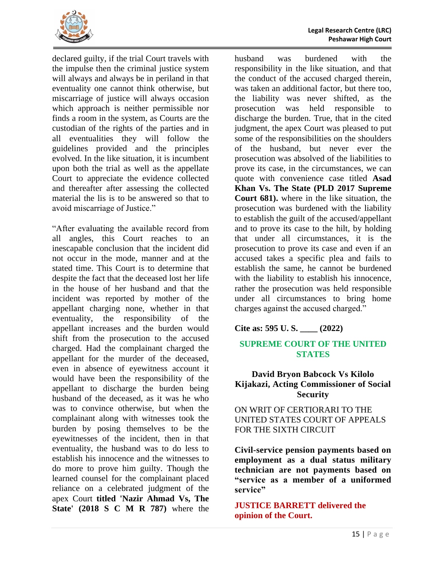

declared guilty, if the trial Court travels with the impulse then the criminal justice system will always and always be in periland in that eventuality one cannot think otherwise, but miscarriage of justice will always occasion which approach is neither permissible nor finds a room in the system, as Courts are the custodian of the rights of the parties and in all eventualities they will follow the guidelines provided and the principles evolved. In the like situation, it is incumbent upon both the trial as well as the appellate Court to appreciate the evidence collected and thereafter after assessing the collected material the lis is to be answered so that to avoid miscarriage of Justice."

"After evaluating the available record from all angles, this Court reaches to an inescapable conclusion that the incident did not occur in the mode, manner and at the stated time. This Court is to determine that despite the fact that the deceased lost her life in the house of her husband and that the incident was reported by mother of the appellant charging none, whether in that eventuality, the responsibility of the appellant increases and the burden would shift from the prosecution to the accused charged. Had the complainant charged the appellant for the murder of the deceased, even in absence of eyewitness account it would have been the responsibility of the appellant to discharge the burden being husband of the deceased, as it was he who was to convince otherwise, but when the complainant along with witnesses took the burden by posing themselves to be the eyewitnesses of the incident, then in that eventuality, the husband was to do less to establish his innocence and the witnesses to do more to prove him guilty. Though the learned counsel for the complainant placed reliance on a celebrated judgment of the apex Court **titled 'Nazir Ahmad Vs, The State' (2018 S C M R 787)** where the husband was burdened with the responsibility in the like situation, and that the conduct of the accused charged therein, was taken an additional factor, but there too, the liability was never shifted, as the prosecution was held responsible to discharge the burden. True, that in the cited judgment, the apex Court was pleased to put some of the responsibilities on the shoulders of the husband, but never ever the prosecution was absolved of the liabilities to prove its case, in the circumstances, we can quote with convenience case titled **Asad Khan Vs. The State (PLD 2017 Supreme Court 681).** where in the like situation, the prosecution was burdened with the liability to establish the guilt of the accused/appellant and to prove its case to the hilt, by holding that under all circumstances, it is the prosecution to prove its case and even if an accused takes a specific plea and fails to establish the same, he cannot be burdened with the liability to establish his innocence, rather the prosecution was held responsible under all circumstances to bring home charges against the accused charged."

**Cite as: 595 U. S. \_\_\_\_ (2022)**

### **SUPREME COURT OF THE UNITED STATES**

### <span id="page-18-0"></span>**David Bryon Babcock Vs Kilolo Kijakazi, Acting Commissioner of Social Security**

ON WRIT OF CERTIORARI TO THE UNITED STATES COURT OF APPEALS FOR THE SIXTH CIRCUIT

<span id="page-18-1"></span>**Civil-service pension payments based on employment as a dual status military technician are not payments based on "service as a member of a uniformed service"** 

**JUSTICE BARRETT delivered the opinion of the Court.**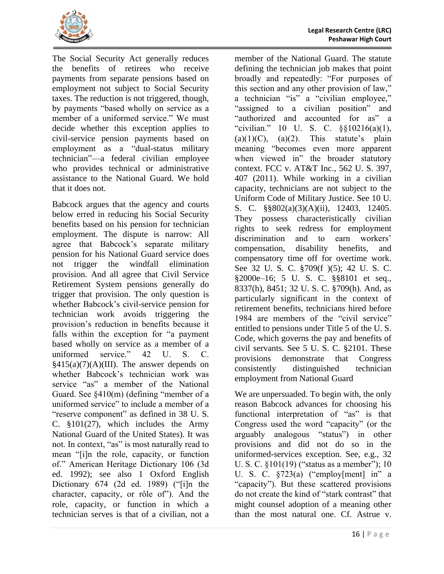

The Social Security Act generally reduces the benefits of retirees who receive payments from separate pensions based on employment not subject to Social Security taxes. The reduction is not triggered, though, by payments "based wholly on service as a member of a uniformed service." We must decide whether this exception applies to civil-service pension payments based on employment as a "dual-status military technician"—a federal civilian employee

who provides technical or administrative assistance to the National Guard. We hold that it does not. Babcock argues that the agency and courts below erred in reducing his Social Security benefits based on his pension for technician employment. The dispute is narrow: All agree that Babcock's separate military pension for his National Guard service does not trigger the windfall elimination provision. And all agree that Civil Service Retirement System pensions generally do trigger that provision. The only question is whether Babcock's civil-service pension for technician work avoids triggering the provision's reduction in benefits because it falls within the exception for "a payment based wholly on service as a member of a uniformed service." 42 U. S. C.  $§415(a)(7)(A)(III)$ . The answer depends on whether Babcock's technician work was service "as" a member of the National Guard. See §410(m) (defining "member of a uniformed service" to include a member of a "reserve component" as defined in 38 U. S. C. §101(27), which includes the Army National Guard of the United States). It was not. In context, "as" is most naturally read to mean "[i]n the role, capacity, or function of." American Heritage Dictionary 106 (3d ed. 1992); see also 1 Oxford English

Dictionary 674 (2d ed. 1989) ("[i]n the character, capacity, or rôle of"). And the role, capacity, or function in which a technician serves is that of a civilian, not a

member of the National Guard. The statute defining the technician job makes that point broadly and repeatedly: "For purposes of this section and any other provision of law," a technician "is" a "civilian employee," "assigned to a civilian position" and "authorized and accounted for as" a "civilian." 10 U. S. C.  $\frac{\$10216(a)(1)}{a}$  $(a)(1)(C)$ ,  $(a)(2)$ . This statute's plain meaning "becomes even more apparent when viewed in" the broader statutory context. FCC v. AT&T Inc., 562 U. S. 397, 407 (2011). While working in a civilian capacity, technicians are not subject to the Uniform Code of Military Justice. See 10 U. S. C. §§802(a)(3)(A)(ii), 12403, 12405. They possess characteristically civilian rights to seek redress for employment discrimination and to earn workers' compensation, disability benefits, and compensatory time off for overtime work. See 32 U. S. C. §709(f )(5); 42 U. S. C. §2000e–16; 5 U. S. C. §§8101 et seq., 8337(h), 8451; 32 U. S. C. §709(h). And, as particularly significant in the context of retirement benefits, technicians hired before 1984 are members of the "civil service" entitled to pensions under Title 5 of the U. S. Code, which governs the pay and benefits of civil servants. See 5 U. S. C. §2101. These provisions demonstrate that Congress consistently distinguished technician employment from National Guard

We are unpersuaded. To begin with, the only reason Babcock advances for choosing his functional interpretation of "as" is that Congress used the word "capacity" (or the arguably analogous "status") in other provisions and did not do so in the uniformed-services exception. See, e.g., 32 U. S. C. §101(19) ("status as a member"); 10 U. S. C. §723(a) ("employ[ment] in" a "capacity"). But these scattered provisions do not create the kind of "stark contrast" that might counsel adoption of a meaning other than the most natural one. Cf. Astrue v.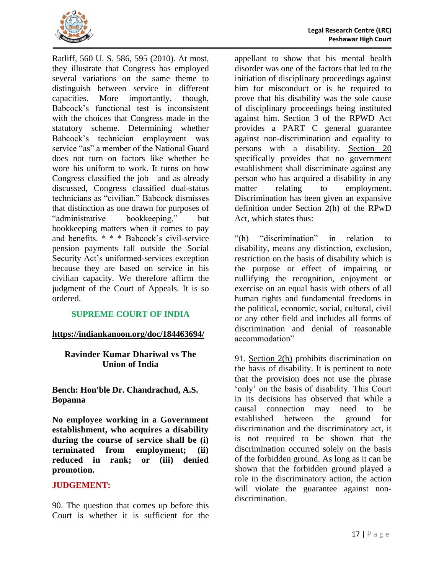

Ratliff, 560 U. S. 586, 595 (2010). At most, they illustrate that Congress has employed several variations on the same theme to distinguish between service in different capacities. More importantly, though, Babcock's functional test is inconsistent with the choices that Congress made in the statutory scheme. Determining whether Babcock's technician employment was service "as" a member of the National Guard does not turn on factors like whether he wore his uniform to work. It turns on how Congress classified the job—and as already discussed, Congress classified dual-status technicians as "civilian." Babcock dismisses that distinction as one drawn for purposes of "administrative bookkeeping," but bookkeeping matters when it comes to pay and benefits. \* \* \* Babcock's civil-service pension payments fall outside the Social Security Act's uniformed-services exception because they are based on service in his civilian capacity. We therefore affirm the judgment of the Court of Appeals. It is so ordered.

### **SUPREME COURT OF INDIA**

#### <span id="page-20-0"></span>**https://indiankanoon.org/doc/184463694/**

### **Ravinder Kumar Dhariwal vs The Union of India**

**Bench: Hon'ble Dr. Chandrachud, A.S. Bopanna**

<span id="page-20-1"></span>**No employee working in a Government establishment, who acquires a disability during the course of service shall be (i) terminated from employment; (ii) reduced in rank; or (iii) denied promotion.**

#### **JUDGEMENT:**

90. The question that comes up before this Court is whether it is sufficient for the

appellant to show that his mental health disorder was one of the factors that led to the initiation of disciplinary proceedings against him for misconduct or is he required to prove that his disability was the sole cause of disciplinary proceedings being instituted against him. Section 3 of the RPWD Act provides a PART C general guarantee against non-discrimination and equality to persons with a disability. Section 20 specifically provides that no government establishment shall discriminate against any person who has acquired a disability in any matter relating to employment. Discrimination has been given an expansive definition under Section 2(h) of the RPwD Act, which states thus:

"(h) "discrimination" in relation to disability, means any distinction, exclusion, restriction on the basis of disability which is the purpose or effect of impairing or nullifying the recognition, enjoyment or exercise on an equal basis with others of all human rights and fundamental freedoms in the political, economic, social, cultural, civil or any other field and includes all forms of discrimination and denial of reasonable accommodation"

91. [Section 2\(h\)](https://indiankanoon.org/doc/183878/) prohibits discrimination on the basis of disability. It is pertinent to note that the provision does not use the phrase 'only' on the basis of disability. This Court in its decisions has observed that while a causal connection may need to be established between the ground for discrimination and the discriminatory act, it is not required to be shown that the discrimination occurred solely on the basis of the forbidden ground. As long as it can be shown that the forbidden ground played a role in the discriminatory action, the action will violate the guarantee against nondiscrimination.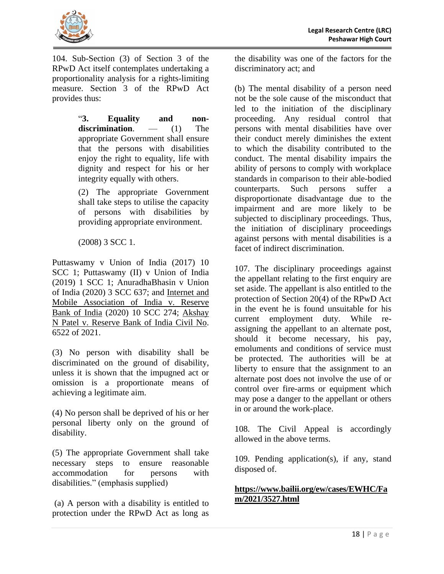

104. Sub-Section (3) of Section 3 of the RPwD Act itself contemplates undertaking a proportionality analysis for a rights-limiting measure. Section 3 of the RPwD Act provides thus:

> "**3. Equality and nondiscrimination**. — (1) The appropriate Government shall ensure that the persons with disabilities enjoy the right to equality, life with dignity and respect for his or her integrity equally with others.

> (2) The appropriate Government shall take steps to utilise the capacity of persons with disabilities by providing appropriate environment.

(2008) 3 SCC 1.

Puttaswamy v Union of India (2017) 10 SCC 1; Puttaswamy (II) v Union of India (2019) 1 SCC 1; AnuradhaBhasin v Union of India (2020) 3 SCC 637; and [Internet and](https://indiankanoon.org/doc/12397485/)  [Mobile Association of India v. Reserve](https://indiankanoon.org/doc/12397485/)  [Bank of India](https://indiankanoon.org/doc/12397485/) (2020) 10 SCC 274; [Akshay](https://indiankanoon.org/doc/139245892/)  [N Patel v. Reserve Bank of India Civil No.](https://indiankanoon.org/doc/139245892/) 6522 of 2021.

(3) No person with disability shall be discriminated on the ground of disability, unless it is shown that the impugned act or omission is a proportionate means of achieving a legitimate aim.

(4) No person shall be deprived of his or her personal liberty only on the ground of disability.

(5) The appropriate Government shall take necessary steps to ensure reasonable accommodation for persons with disabilities." (emphasis supplied)

(a) A person with a disability is entitled to protection under the RPwD Act as long as

the disability was one of the factors for the discriminatory act; and

(b) The mental disability of a person need not be the sole cause of the misconduct that led to the initiation of the disciplinary proceeding. Any residual control that persons with mental disabilities have over their conduct merely diminishes the extent to which the disability contributed to the conduct. The mental disability impairs the ability of persons to comply with workplace standards in comparison to their able-bodied counterparts. Such persons suffer a disproportionate disadvantage due to the impairment and are more likely to be subjected to disciplinary proceedings. Thus, the initiation of disciplinary proceedings against persons with mental disabilities is a facet of indirect discrimination.

107. The disciplinary proceedings against the appellant relating to the first enquiry are set aside. The appellant is also entitled to the protection of Section 20(4) of the RPwD Act in the event he is found unsuitable for his current employment duty. While reassigning the appellant to an alternate post, should it become necessary, his pay, emoluments and conditions of service must be protected. The authorities will be at liberty to ensure that the assignment to an alternate post does not involve the use of or control over fire-arms or equipment which may pose a danger to the appellant or others in or around the work-place.

108. The Civil Appeal is accordingly allowed in the above terms.

109. Pending application(s), if any, stand disposed of.

# **[https://www.bailii.org/ew/cases/EWHC/Fa](https://www.bailii.org/ew/cases/EWHC/Fam/2021/3527.html) [m/2021/3527.html](https://www.bailii.org/ew/cases/EWHC/Fam/2021/3527.html)**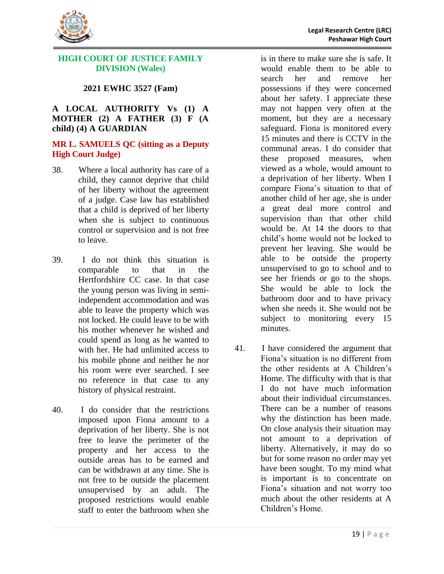

#### <span id="page-22-0"></span>**HIGH COURT OF JUSTICE FAMILY DIVISION (Wales)**

### **2021 EWHC 3527 (Fam)**

#### <span id="page-22-1"></span>**A LOCAL AUTHORITY Vs (1) A MOTHER (2) A FATHER (3) F (A child) (4) A GUARDIAN**

#### **MR L. SAMUELS QC (sitting as a Deputy High Court Judge)**

- 38. Where a local authority has care of a child, they cannot deprive that child of her liberty without the agreement of a judge. Case law has established that a child is deprived of her liberty when she is subject to continuous control or supervision and is not free to leave.
- 39. I do not think this situation is comparable to that in the Hertfordshire CC case. In that case the young person was living in semiindependent accommodation and was able to leave the property which was not locked. He could leave to be with his mother whenever he wished and could spend as long as he wanted to with her. He had unlimited access to his mobile phone and neither he nor his room were ever searched. I see no reference in that case to any history of physical restraint.
- 40. I do consider that the restrictions imposed upon Fiona amount to a deprivation of her liberty. She is not free to leave the perimeter of the property and her access to the outside areas has to be earned and can be withdrawn at any time. She is not free to be outside the placement unsupervised by an adult. The proposed restrictions would enable staff to enter the bathroom when she

is in there to make sure she is safe. It would enable them to be able to search her and remove her possessions if they were concerned about her safety. I appreciate these may not happen very often at the moment, but they are a necessary safeguard. Fiona is monitored every 15 minutes and there is CCTV in the communal areas. I do consider that these proposed measures, when viewed as a whole, would amount to a deprivation of her liberty. When I compare Fiona's situation to that of another child of her age, she is under a great deal more control and supervision than that other child would be. At 14 the doors to that child's home would not be locked to prevent her leaving. She would be able to be outside the property unsupervised to go to school and to see her friends or go to the shops. She would be able to lock the bathroom door and to have privacy when she needs it. She would not be subject to monitoring every 15 minutes.

41. I have considered the argument that Fiona's situation is no different from the other residents at A Children's Home. The difficulty with that is that I do not have much information about their individual circumstances. There can be a number of reasons why the distinction has been made. On close analysis their situation may not amount to a deprivation of liberty. Alternatively, it may do so but for some reason no order may yet have been sought. To my mind what is important is to concentrate on Fiona's situation and not worry too much about the other residents at A Children's Home.